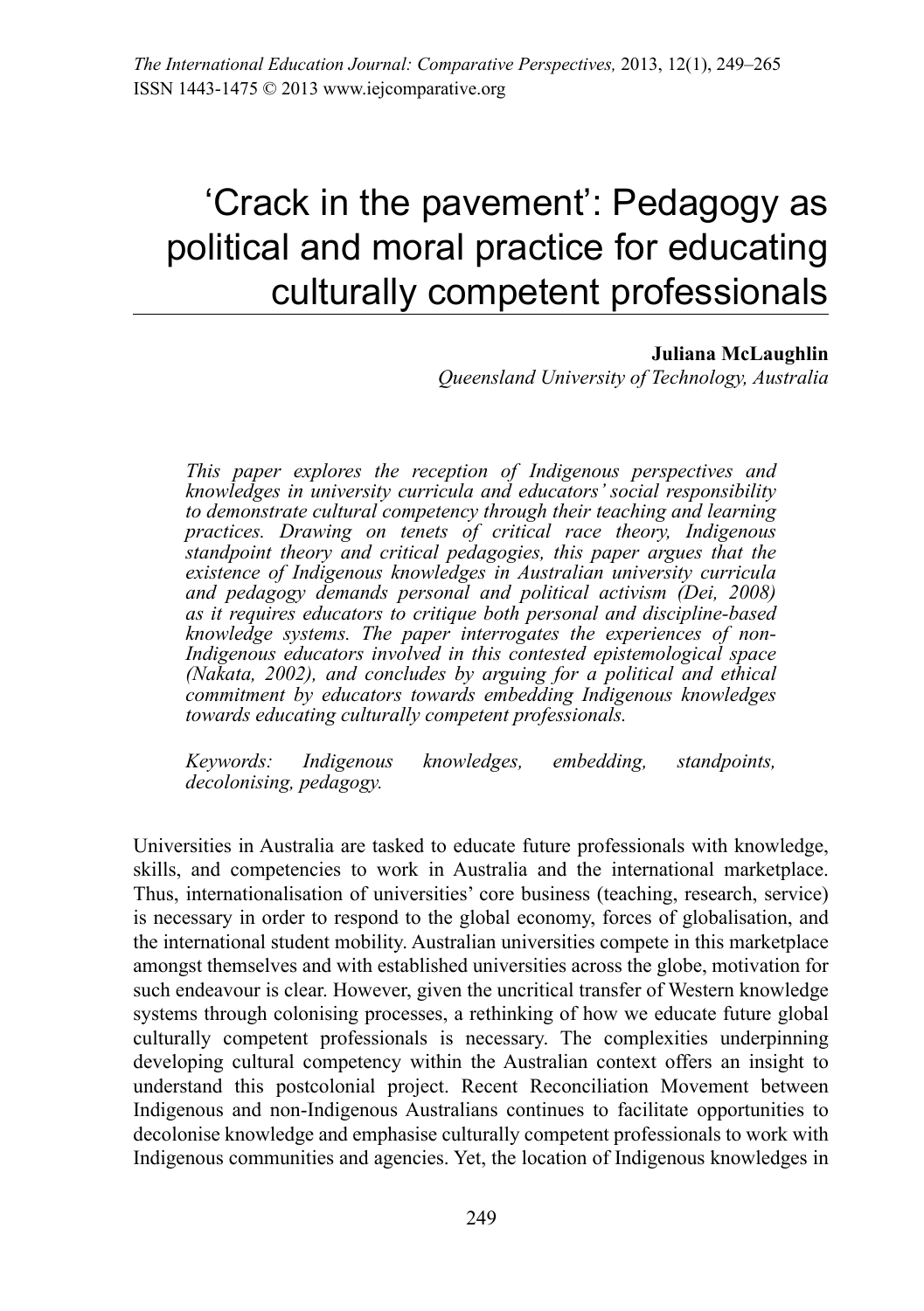# 'Crack in the pavement': Pedagogy as political and moral practice for educating culturally competent professionals

#### **Juliana McLaughlin**

*Queensland University of Technology, Australia*

*This paper explores the reception of Indigenous perspectives and knowledges in university curricula and educators' social responsibility to demonstrate cultural competency through their teaching and learning practices. Drawing on tenets of critical race theory, Indigenous standpoint theory and critical pedagogies, this paper argues that the existence of Indigenous knowledges in Australian university curricula and pedagogy demands personal and political activism (Dei, 2008) as it requires educators to critique both personal and discipline-based knowledge systems. The paper interrogates the experiences of non-Indigenous educators involved in this contested epistemological space (Nakata, 2002), and concludes by arguing for a political and ethical commitment by educators towards embedding Indigenous knowledges towards educating culturally competent professionals.* 

*Keywords: Indigenous knowledges, embedding, standpoints, decolonising, pedagogy.*

Universities in Australia are tasked to educate future professionals with knowledge, skills, and competencies to work in Australia and the international marketplace. Thus, internationalisation of universities' core business (teaching, research, service) is necessary in order to respond to the global economy, forces of globalisation, and the international student mobility. Australian universities compete in this marketplace amongst themselves and with established universities across the globe, motivation for such endeavour is clear. However, given the uncritical transfer of Western knowledge systems through colonising processes, a rethinking of how we educate future global culturally competent professionals is necessary. The complexities underpinning developing cultural competency within the Australian context offers an insight to understand this postcolonial project. Recent Reconciliation Movement between Indigenous and non-Indigenous Australians continues to facilitate opportunities to decolonise knowledge and emphasise culturally competent professionals to work with Indigenous communities and agencies. Yet, the location of Indigenous knowledges in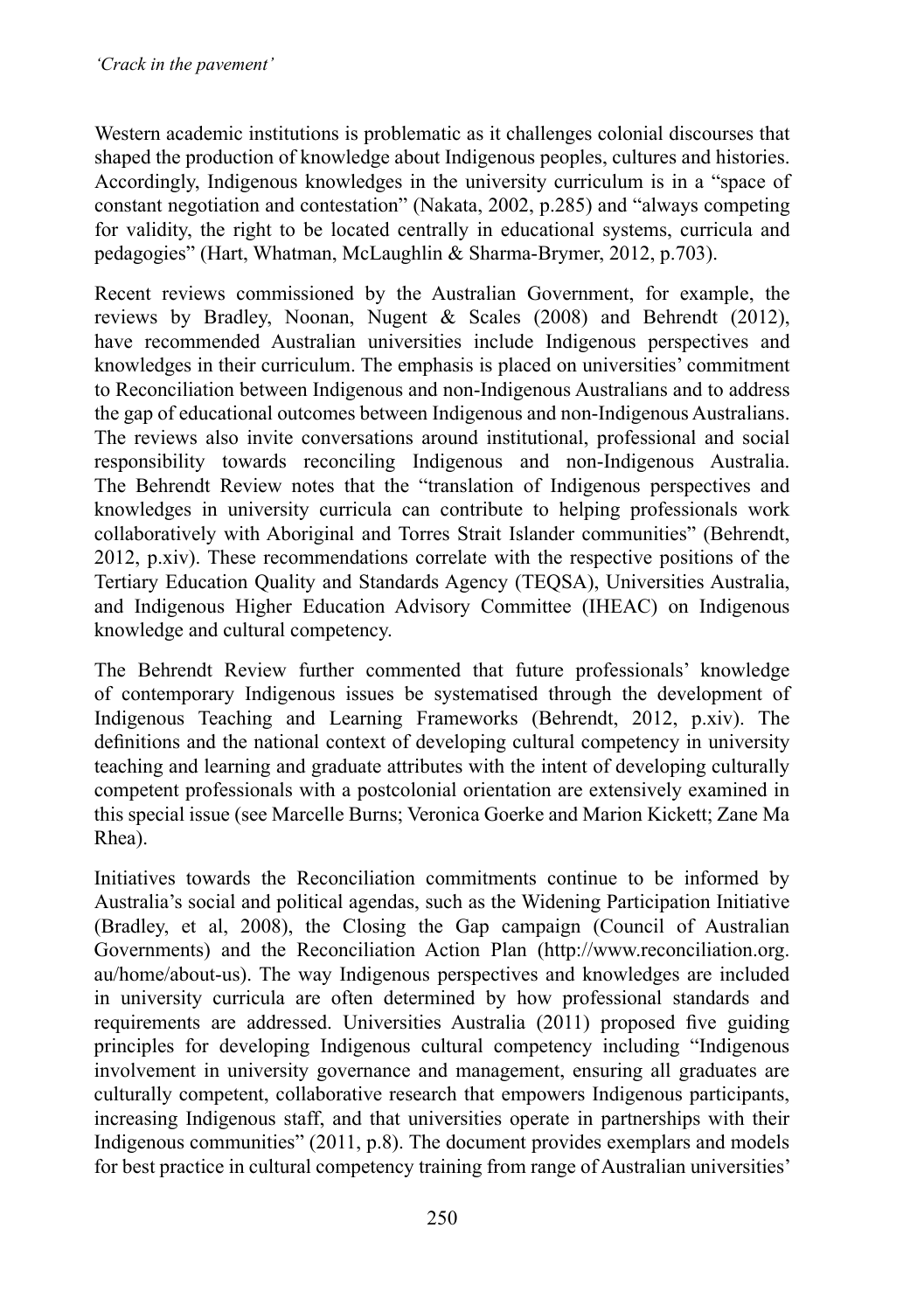Western academic institutions is problematic as it challenges colonial discourses that shaped the production of knowledge about Indigenous peoples, cultures and histories. Accordingly, Indigenous knowledges in the university curriculum is in a "space of constant negotiation and contestation" (Nakata, 2002, p.285) and "always competing for validity, the right to be located centrally in educational systems, curricula and pedagogies" (Hart, Whatman, McLaughlin & Sharma-Brymer, 2012, p.703).

Recent reviews commissioned by the Australian Government, for example, the reviews by Bradley, Noonan, Nugent & Scales (2008) and Behrendt (2012), have recommended Australian universities include Indigenous perspectives and knowledges in their curriculum. The emphasis is placed on universities' commitment to Reconciliation between Indigenous and non-Indigenous Australians and to address the gap of educational outcomes between Indigenous and non-Indigenous Australians. The reviews also invite conversations around institutional, professional and social responsibility towards reconciling Indigenous and non-Indigenous Australia. The Behrendt Review notes that the "translation of Indigenous perspectives and knowledges in university curricula can contribute to helping professionals work collaboratively with Aboriginal and Torres Strait Islander communities" (Behrendt, 2012, p.xiv). These recommendations correlate with the respective positions of the Tertiary Education Quality and Standards Agency (TEQSA), Universities Australia, and Indigenous Higher Education Advisory Committee (IHEAC) on Indigenous knowledge and cultural competency.

The Behrendt Review further commented that future professionals' knowledge of contemporary Indigenous issues be systematised through the development of Indigenous Teaching and Learning Frameworks (Behrendt, 2012, p.xiv). The definitions and the national context of developing cultural competency in university teaching and learning and graduate attributes with the intent of developing culturally competent professionals with a postcolonial orientation are extensively examined in this special issue (see Marcelle Burns; Veronica Goerke and Marion Kickett; Zane Ma Rhea).

Initiatives towards the Reconciliation commitments continue to be informed by Australia's social and political agendas, such as the Widening Participation Initiative (Bradley, et al, 2008), the Closing the Gap campaign (Council of Australian Governments) and the Reconciliation Action Plan (http://www.reconciliation.org. au/home/about-us). The way Indigenous perspectives and knowledges are included in university curricula are often determined by how professional standards and requirements are addressed. Universities Australia (2011) proposed five guiding principles for developing Indigenous cultural competency including "Indigenous involvement in university governance and management, ensuring all graduates are culturally competent, collaborative research that empowers Indigenous participants, increasing Indigenous staff, and that universities operate in partnerships with their Indigenous communities" (2011, p.8). The document provides exemplars and models for best practice in cultural competency training from range of Australian universities'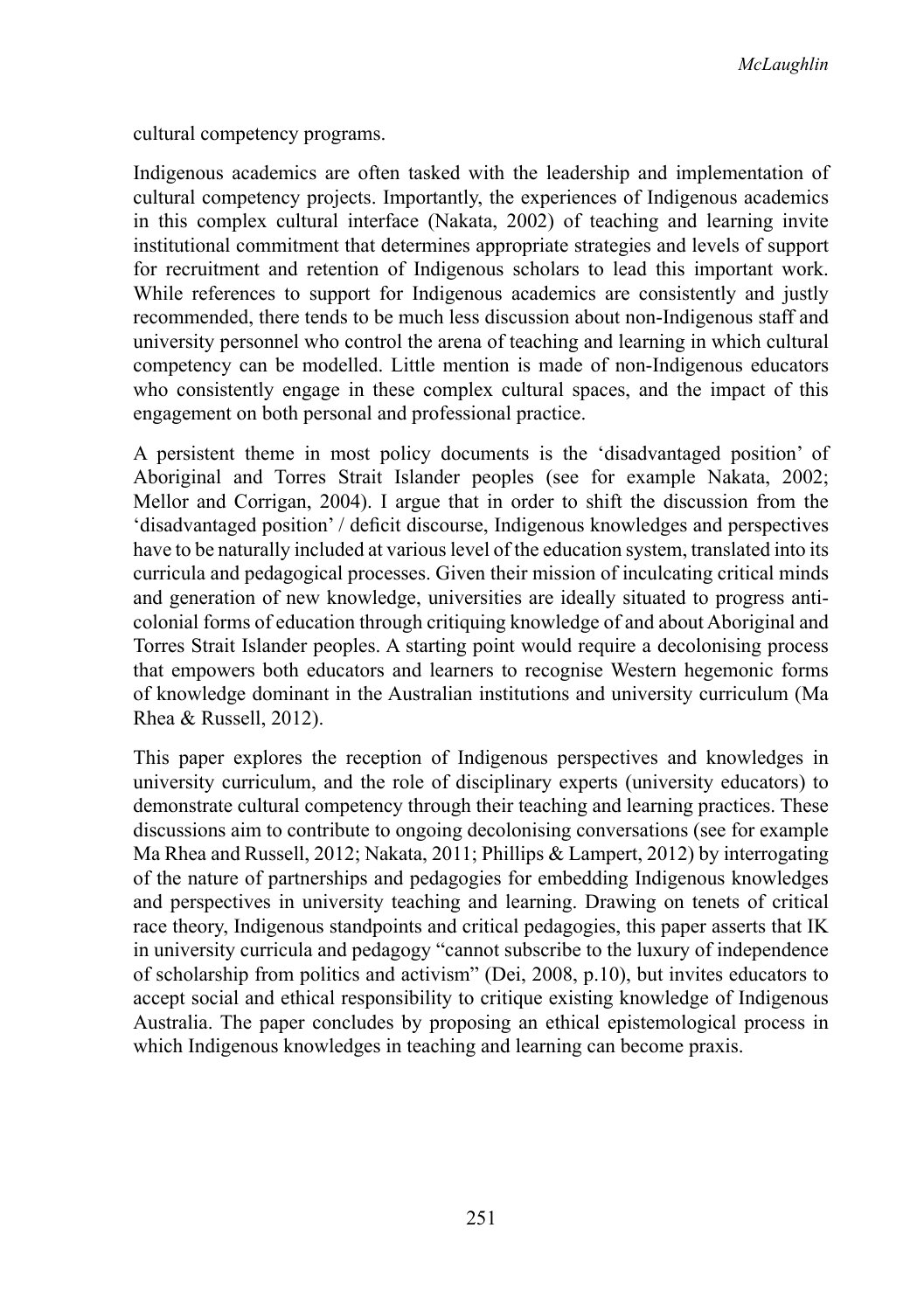cultural competency programs.

Indigenous academics are often tasked with the leadership and implementation of cultural competency projects. Importantly, the experiences of Indigenous academics in this complex cultural interface (Nakata, 2002) of teaching and learning invite institutional commitment that determines appropriate strategies and levels of support for recruitment and retention of Indigenous scholars to lead this important work. While references to support for Indigenous academics are consistently and justly recommended, there tends to be much less discussion about non-Indigenous staff and university personnel who control the arena of teaching and learning in which cultural competency can be modelled. Little mention is made of non-Indigenous educators who consistently engage in these complex cultural spaces, and the impact of this engagement on both personal and professional practice.

A persistent theme in most policy documents is the 'disadvantaged position' of Aboriginal and Torres Strait Islander peoples (see for example Nakata, 2002; Mellor and Corrigan, 2004). I argue that in order to shift the discussion from the 'disadvantaged position' / deficit discourse, Indigenous knowledges and perspectives have to be naturally included at various level of the education system, translated into its curricula and pedagogical processes. Given their mission of inculcating critical minds and generation of new knowledge, universities are ideally situated to progress anticolonial forms of education through critiquing knowledge of and about Aboriginal and Torres Strait Islander peoples. A starting point would require a decolonising process that empowers both educators and learners to recognise Western hegemonic forms of knowledge dominant in the Australian institutions and university curriculum (Ma Rhea & Russell, 2012).

This paper explores the reception of Indigenous perspectives and knowledges in university curriculum, and the role of disciplinary experts (university educators) to demonstrate cultural competency through their teaching and learning practices. These discussions aim to contribute to ongoing decolonising conversations (see for example Ma Rhea and Russell, 2012; Nakata, 2011; Phillips & Lampert, 2012) by interrogating of the nature of partnerships and pedagogies for embedding Indigenous knowledges and perspectives in university teaching and learning. Drawing on tenets of critical race theory, Indigenous standpoints and critical pedagogies, this paper asserts that IK in university curricula and pedagogy "cannot subscribe to the luxury of independence of scholarship from politics and activism" (Dei, 2008, p.10), but invites educators to accept social and ethical responsibility to critique existing knowledge of Indigenous Australia. The paper concludes by proposing an ethical epistemological process in which Indigenous knowledges in teaching and learning can become praxis.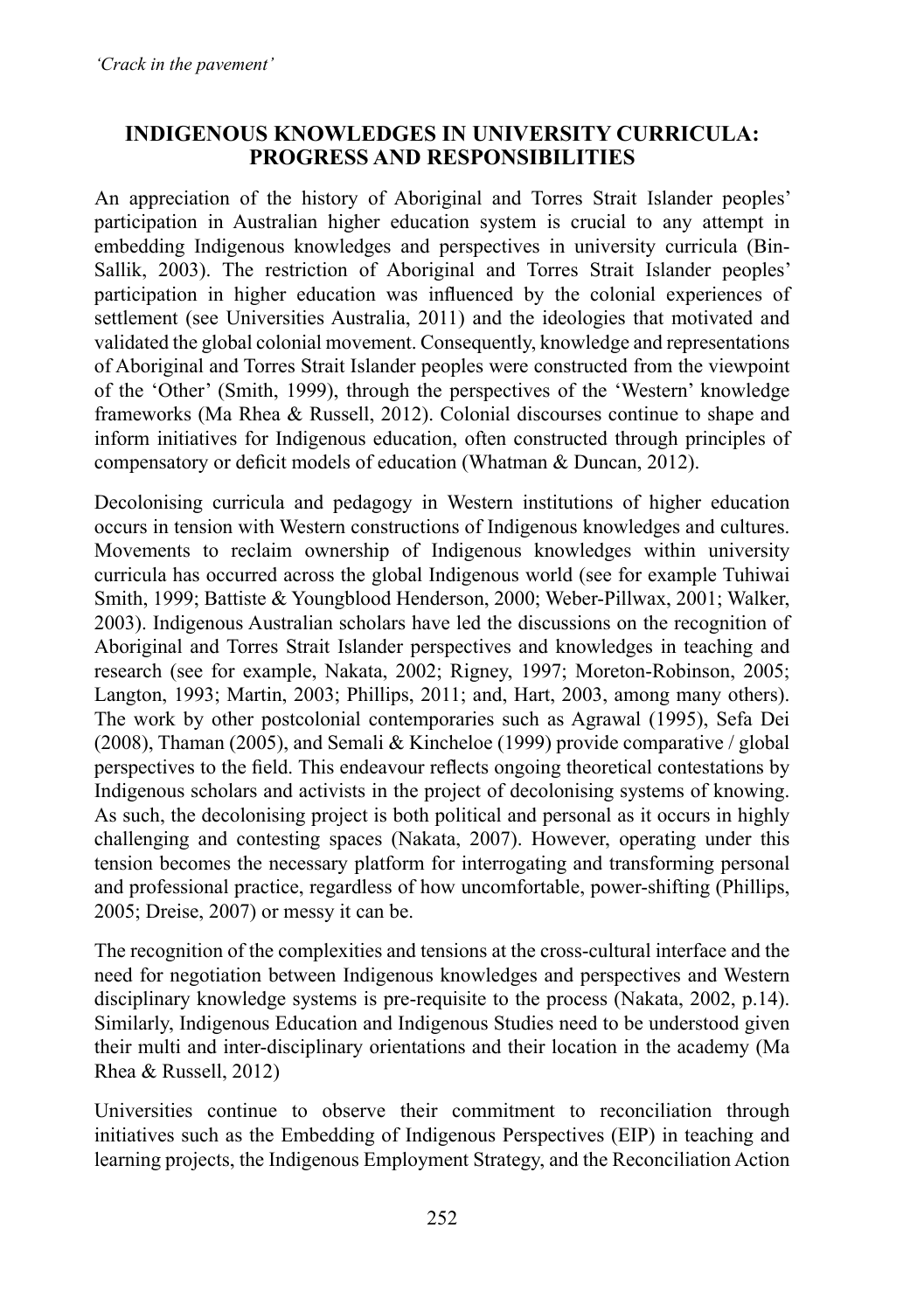### **Indigenous knowledges in university curricula: progress and responsibilities**

An appreciation of the history of Aboriginal and Torres Strait Islander peoples' participation in Australian higher education system is crucial to any attempt in embedding Indigenous knowledges and perspectives in university curricula (Bin-Sallik, 2003). The restriction of Aboriginal and Torres Strait Islander peoples' participation in higher education was influenced by the colonial experiences of settlement (see Universities Australia, 2011) and the ideologies that motivated and validated the global colonial movement. Consequently, knowledge and representations of Aboriginal and Torres Strait Islander peoples were constructed from the viewpoint of the 'Other' (Smith, 1999), through the perspectives of the 'Western' knowledge frameworks (Ma Rhea & Russell, 2012). Colonial discourses continue to shape and inform initiatives for Indigenous education, often constructed through principles of compensatory or deficit models of education (Whatman & Duncan, 2012).

Decolonising curricula and pedagogy in Western institutions of higher education occurs in tension with Western constructions of Indigenous knowledges and cultures. Movements to reclaim ownership of Indigenous knowledges within university curricula has occurred across the global Indigenous world (see for example Tuhiwai Smith, 1999; Battiste & Youngblood Henderson, 2000; Weber-Pillwax, 2001; Walker, 2003). Indigenous Australian scholars have led the discussions on the recognition of Aboriginal and Torres Strait Islander perspectives and knowledges in teaching and research (see for example, Nakata, 2002; Rigney, 1997; Moreton-Robinson, 2005; Langton, 1993; Martin, 2003; Phillips, 2011; and, Hart, 2003, among many others). The work by other postcolonial contemporaries such as Agrawal (1995), Sefa Dei (2008), Thaman (2005), and Semali & Kincheloe (1999) provide comparative / global perspectives to the field. This endeavour reflects ongoing theoretical contestations by Indigenous scholars and activists in the project of decolonising systems of knowing. As such, the decolonising project is both political and personal as it occurs in highly challenging and contesting spaces (Nakata, 2007). However, operating under this tension becomes the necessary platform for interrogating and transforming personal and professional practice, regardless of how uncomfortable, power-shifting (Phillips, 2005; Dreise, 2007) or messy it can be. 

The recognition of the complexities and tensions at the cross-cultural interface and the need for negotiation between Indigenous knowledges and perspectives and Western disciplinary knowledge systems is pre-requisite to the process (Nakata, 2002, p.14). Similarly, Indigenous Education and Indigenous Studies need to be understood given their multi and inter-disciplinary orientations and their location in the academy (Ma Rhea & Russell, 2012)

Universities continue to observe their commitment to reconciliation through initiatives such as the Embedding of Indigenous Perspectives (EIP) in teaching and learning projects, the Indigenous Employment Strategy, and the Reconciliation Action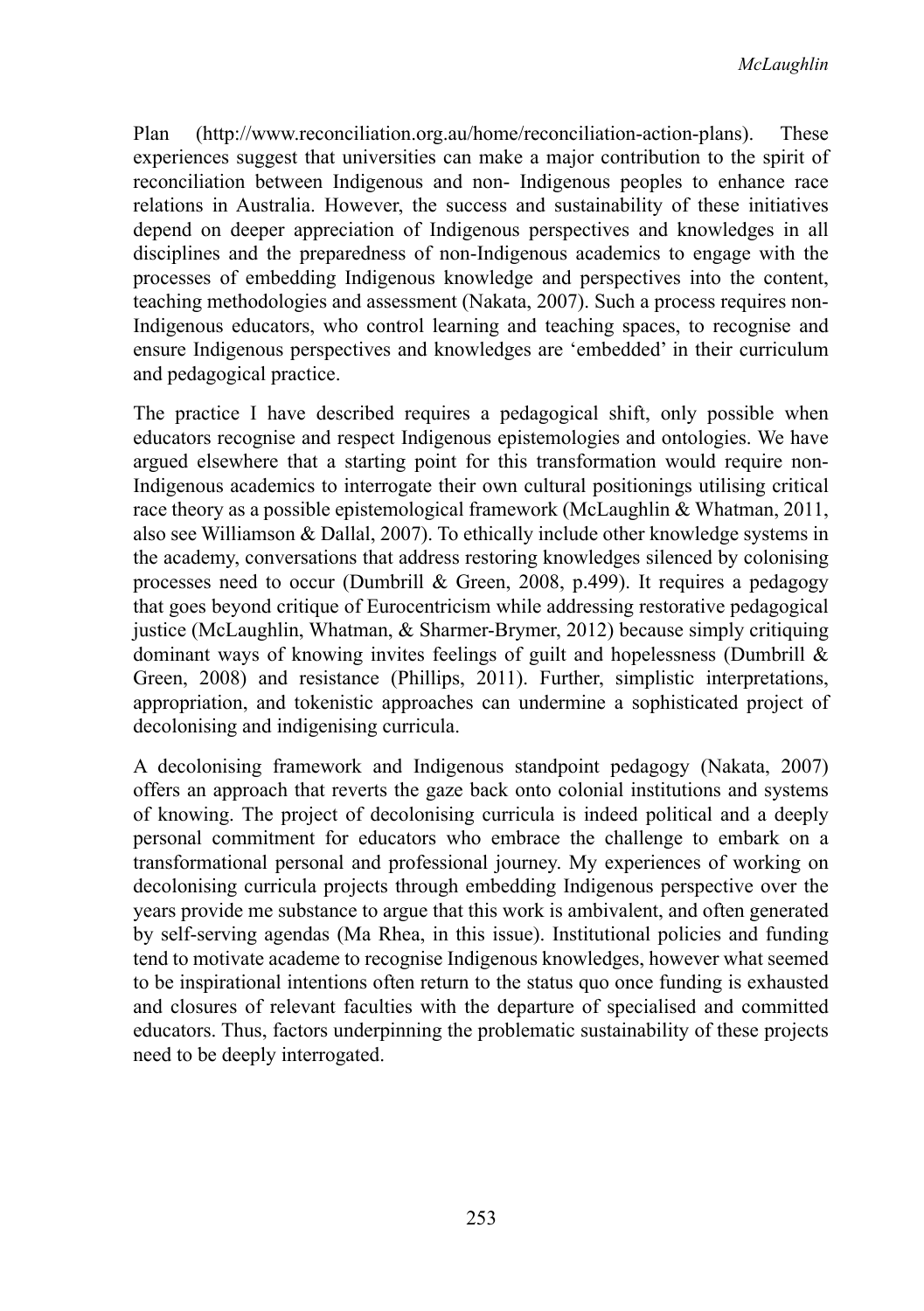Plan (http://www.reconciliation.org.au/home/reconciliation-action-plans). These experiences suggest that universities can make a major contribution to the spirit of reconciliation between Indigenous and non- Indigenous peoples to enhance race relations in Australia. However, the success and sustainability of these initiatives depend on deeper appreciation of Indigenous perspectives and knowledges in all disciplines and the preparedness of non-Indigenous academics to engage with the processes of embedding Indigenous knowledge and perspectives into the content, teaching methodologies and assessment (Nakata, 2007). Such a process requires non-Indigenous educators, who control learning and teaching spaces, to recognise and ensure Indigenous perspectives and knowledges are 'embedded' in their curriculum and pedagogical practice.

The practice I have described requires a pedagogical shift, only possible when educators recognise and respect Indigenous epistemologies and ontologies. We have argued elsewhere that a starting point for this transformation would require non-Indigenous academics to interrogate their own cultural positionings utilising critical race theory as a possible epistemological framework (McLaughlin & Whatman, 2011, also see Williamson & Dallal, 2007). To ethically include other knowledge systems in the academy, conversations that address restoring knowledges silenced by colonising processes need to occur (Dumbrill & Green, 2008, p.499). It requires a pedagogy that goes beyond critique of Eurocentricism while addressing restorative pedagogical justice (McLaughlin, Whatman, & Sharmer-Brymer, 2012) because simply critiquing dominant ways of knowing invites feelings of guilt and hopelessness (Dumbrill & Green, 2008) and resistance (Phillips, 2011). Further, simplistic interpretations, appropriation, and tokenistic approaches can undermine a sophisticated project of decolonising and indigenising curricula.

A decolonising framework and Indigenous standpoint pedagogy (Nakata, 2007) offers an approach that reverts the gaze back onto colonial institutions and systems of knowing. The project of decolonising curricula is indeed political and a deeply personal commitment for educators who embrace the challenge to embark on a transformational personal and professional journey. My experiences of working on decolonising curricula projects through embedding Indigenous perspective over the years provide me substance to argue that this work is ambivalent, and often generated by self-serving agendas (Ma Rhea, in this issue). Institutional policies and funding tend to motivate academe to recognise Indigenous knowledges, however what seemed to be inspirational intentions often return to the status quo once funding is exhausted and closures of relevant faculties with the departure of specialised and committed educators. Thus, factors underpinning the problematic sustainability of these projects need to be deeply interrogated.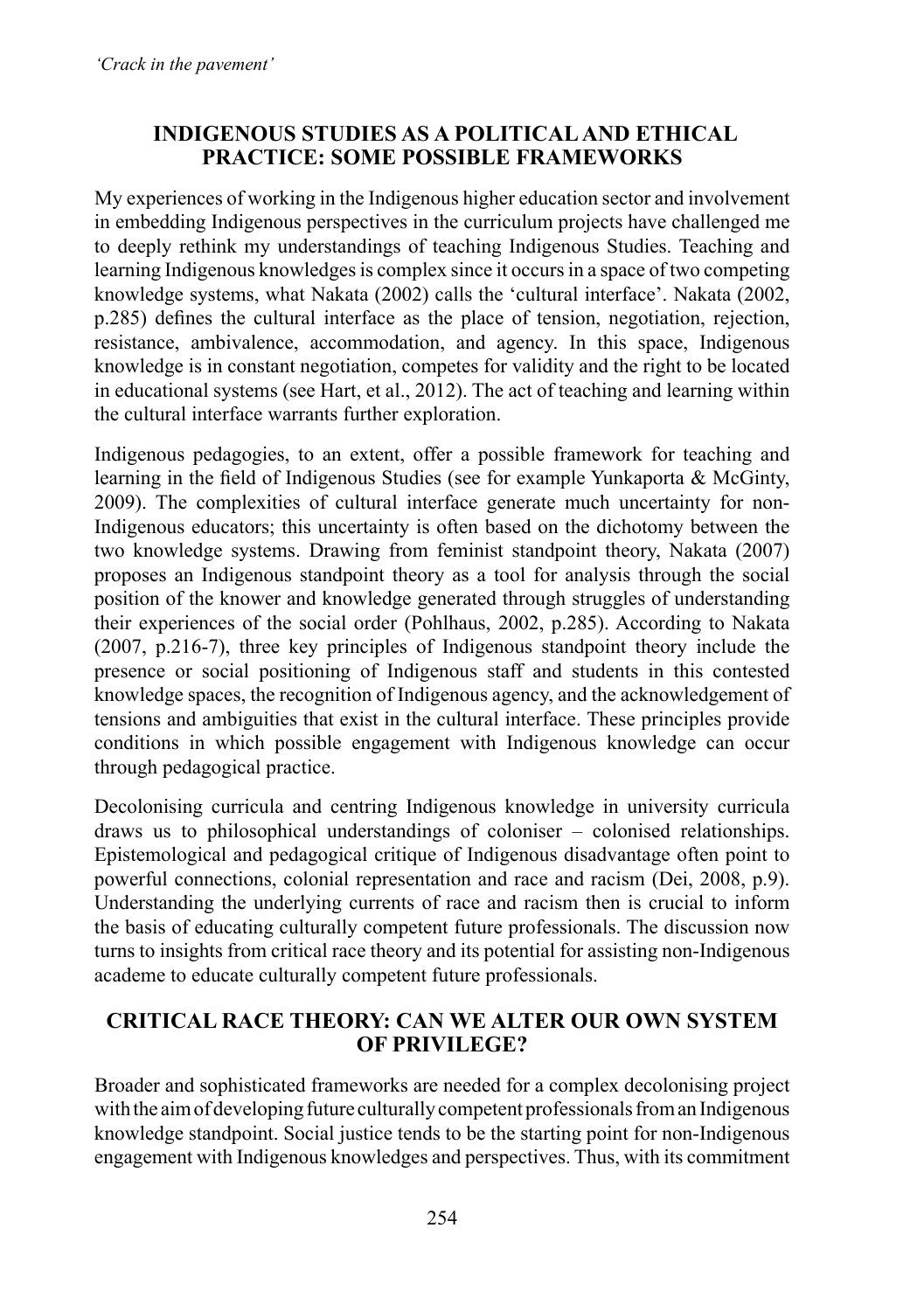## **Indigenous Studies as a politicaland ethical practice: some possible frameworks**

My experiences of working in the Indigenous higher education sector and involvement in embedding Indigenous perspectives in the curriculum projects have challenged me to deeply rethink my understandings of teaching Indigenous Studies. Teaching and learning Indigenous knowledgesis complex since it occursin a space of two competing knowledge systems, what Nakata (2002) calls the 'cultural interface'. Nakata (2002, p.285) defines the cultural interface as the place of tension, negotiation, rejection, resistance, ambivalence, accommodation, and agency. In this space, Indigenous knowledge is in constant negotiation, competes for validity and the right to be located in educational systems (see Hart, et al., 2012). The act of teaching and learning within the cultural interface warrants further exploration.

Indigenous pedagogies, to an extent, offer a possible framework for teaching and learning in the field of Indigenous Studies (see for example Yunkaporta & McGinty, 2009). The complexities of cultural interface generate much uncertainty for non-Indigenous educators; this uncertainty is often based on the dichotomy between the two knowledge systems. Drawing from feminist standpoint theory, Nakata (2007) proposes an Indigenous standpoint theory as a tool for analysis through the social position of the knower and knowledge generated through struggles of understanding their experiences of the social order (Pohlhaus, 2002, p.285). According to Nakata (2007, p.216-7), three key principles of Indigenous standpoint theory include the presence or social positioning of Indigenous staff and students in this contested knowledge spaces, the recognition of Indigenous agency, and the acknowledgement of tensions and ambiguities that exist in the cultural interface. These principles provide conditions in which possible engagement with Indigenous knowledge can occur through pedagogical practice.

Decolonising curricula and centring Indigenous knowledge in university curricula draws us to philosophical understandings of coloniser – colonised relationships. Epistemological and pedagogical critique of Indigenous disadvantage often point to powerful connections, colonial representation and race and racism (Dei, 2008, p.9). Understanding the underlying currents of race and racism then is crucial to inform the basis of educating culturally competent future professionals. The discussion now turns to insights from critical race theory and its potential for assisting non-Indigenous academe to educate culturally competent future professionals.

## **Critical Race Theory: can we alter our own system of privilege?**

Broader and sophisticated frameworks are needed for a complex decolonising project with the aim of developing future culturally competent professionals from an Indigenous knowledge standpoint. Social justice tends to be the starting point for non-Indigenous engagement with Indigenous knowledges and perspectives. Thus, with its commitment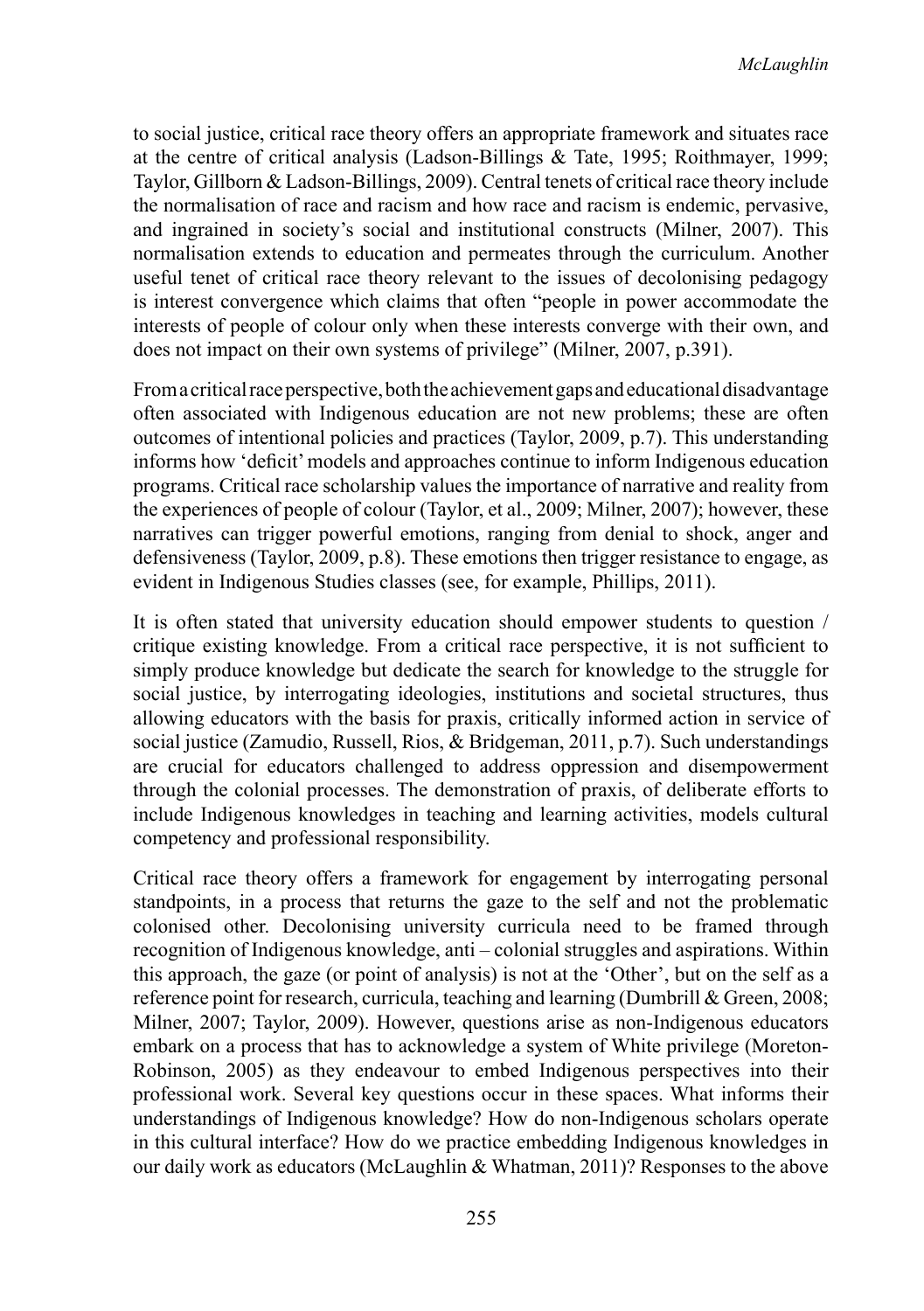to social justice, critical race theory offers an appropriate framework and situates race at the centre of critical analysis (Ladson-Billings & Tate, 1995; Roithmayer, 1999; Taylor, Gillborn & Ladson-Billings, 2009). Central tenets of critical race theory include the normalisation of race and racism and how race and racism is endemic, pervasive, and ingrained in society's social and institutional constructs (Milner, 2007). This normalisation extends to education and permeates through the curriculum. Another useful tenet of critical race theory relevant to the issues of decolonising pedagogy is interest convergence which claims that often "people in power accommodate the interests of people of colour only when these interests converge with their own, and does not impact on their own systems of privilege" (Milner, 2007, p.391).

From a critical race perspective, both the achievement gaps and educational disadvantage often associated with Indigenous education are not new problems; these are often outcomes of intentional policies and practices (Taylor, 2009, p.7). This understanding informs how 'deficit'models and approaches continue to inform Indigenous education programs. Critical race scholarship values the importance of narrative and reality from the experiences of people of colour (Taylor, et al., 2009; Milner, 2007); however, these narratives can trigger powerful emotions, ranging from denial to shock, anger and defensiveness (Taylor, 2009, p.8). These emotions then trigger resistance to engage, as evident in Indigenous Studies classes (see, for example, Phillips, 2011).

It is often stated that university education should empower students to question / critique existing knowledge. From a critical race perspective, it is not sufficient to simply produce knowledge but dedicate the search for knowledge to the struggle for social justice, by interrogating ideologies, institutions and societal structures, thus allowing educators with the basis for praxis, critically informed action in service of social justice (Zamudio, Russell, Rios, & Bridgeman, 2011, p.7). Such understandings are crucial for educators challenged to address oppression and disempowerment through the colonial processes. The demonstration of praxis, of deliberate efforts to include Indigenous knowledges in teaching and learning activities, models cultural competency and professional responsibility.

Critical race theory offers a framework for engagement by interrogating personal standpoints, in a process that returns the gaze to the self and not the problematic colonised other. Decolonising university curricula need to be framed through recognition of Indigenous knowledge, anti – colonial struggles and aspirations. Within this approach, the gaze (or point of analysis) is not at the 'Other', but on the self as a reference point for research, curricula, teaching and learning (Dumbrill & Green, 2008; Milner, 2007; Taylor, 2009). However, questions arise as non-Indigenous educators embark on a process that has to acknowledge a system of White privilege (Moreton-Robinson, 2005) as they endeavour to embed Indigenous perspectives into their professional work. Several key questions occur in these spaces. What informs their understandings of Indigenous knowledge? How do non-Indigenous scholars operate in this cultural interface? How do we practice embedding Indigenous knowledges in our daily work as educators (McLaughlin & Whatman, 2011)? Responses to the above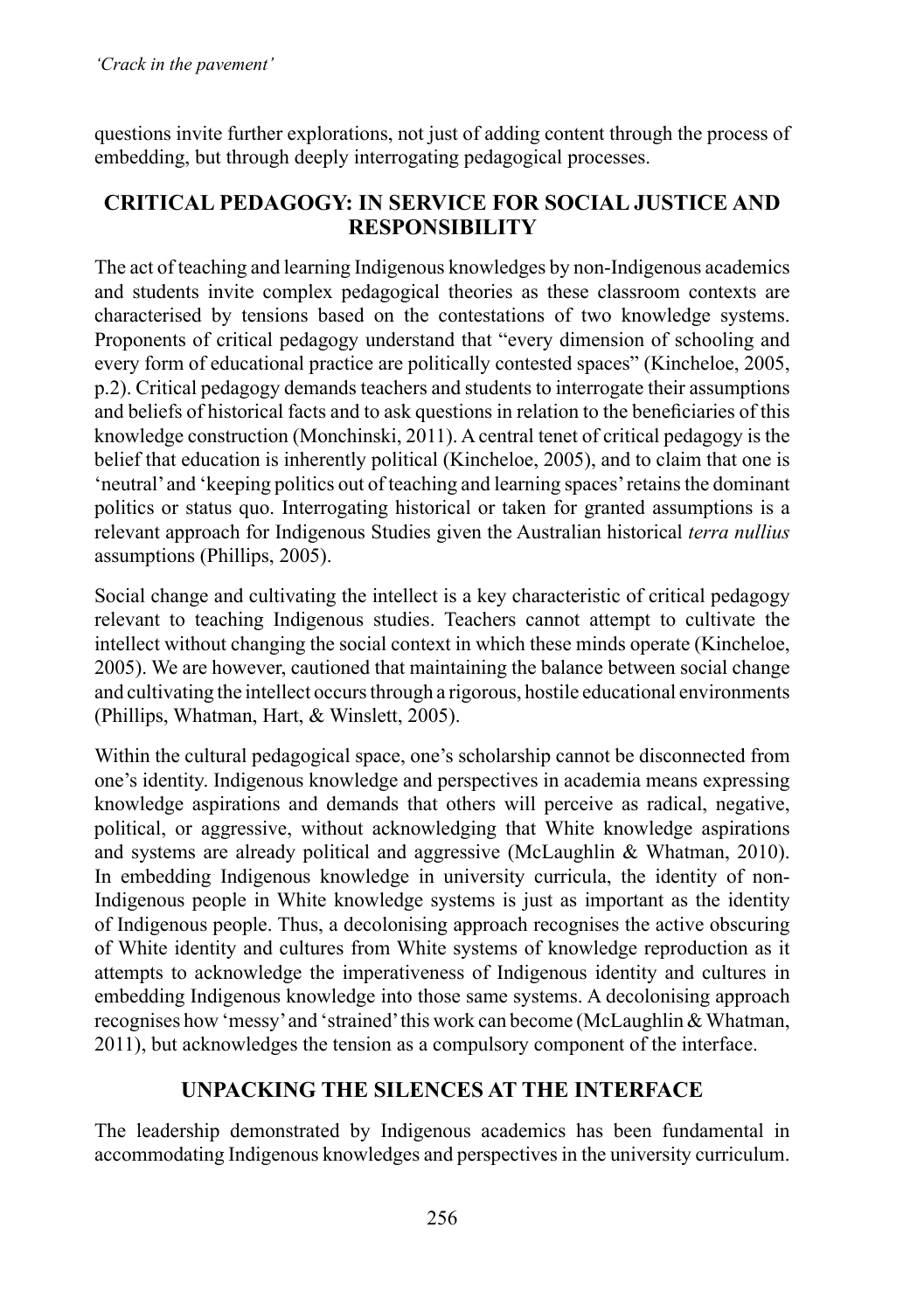questions invite further explorations, not just of adding content through the process of embedding, but through deeply interrogating pedagogical processes.

## **Critical pedagogy: in service for social justice and responsibility**

The act of teaching and learning Indigenous knowledges by non-Indigenous academics and students invite complex pedagogical theories as these classroom contexts are characterised by tensions based on the contestations of two knowledge systems. Proponents of critical pedagogy understand that "every dimension of schooling and every form of educational practice are politically contested spaces" (Kincheloe, 2005, p.2). Critical pedagogy demands teachers and students to interrogate their assumptions and beliefs of historical facts and to ask questions in relation to the beneficiaries of this knowledge construction (Monchinski, 2011). A central tenet of critical pedagogy is the belief that education is inherently political (Kincheloe, 2005), and to claim that one is 'neutral'and 'keeping politics out of teaching and learning spaces'retainsthe dominant politics or status quo. Interrogating historical or taken for granted assumptions is a relevant approach for Indigenous Studies given the Australian historical *terra nullius* assumptions (Phillips, 2005).

Social change and cultivating the intellect is a key characteristic of critical pedagogy relevant to teaching Indigenous studies. Teachers cannot attempt to cultivate the intellect without changing the social context in which these minds operate (Kincheloe, 2005). We are however, cautioned that maintaining the balance between social change and cultivating the intellect occurs through a rigorous, hostile educational environments (Phillips, Whatman, Hart, & Winslett, 2005).

Within the cultural pedagogical space, one's scholarship cannot be disconnected from one's identity. Indigenous knowledge and perspectives in academia means expressing knowledge aspirations and demands that others will perceive as radical, negative, political, or aggressive, without acknowledging that White knowledge aspirations and systems are already political and aggressive (McLaughlin & Whatman, 2010). In embedding Indigenous knowledge in university curricula, the identity of non-Indigenous people in White knowledge systems is just as important as the identity of Indigenous people. Thus, a decolonising approach recognises the active obscuring of White identity and cultures from White systems of knowledge reproduction as it attempts to acknowledge the imperativeness of Indigenous identity and cultures in embedding Indigenous knowledge into those same systems. A decolonising approach recognises how 'messy' and 'strained' this work can become (McLaughlin  $&$  Whatman, 2011), but acknowledges the tension as a compulsory component of the interface.

# **Unpacking the silences at the interface**

The leadership demonstrated by Indigenous academics has been fundamental in accommodating Indigenous knowledges and perspectives in the university curriculum.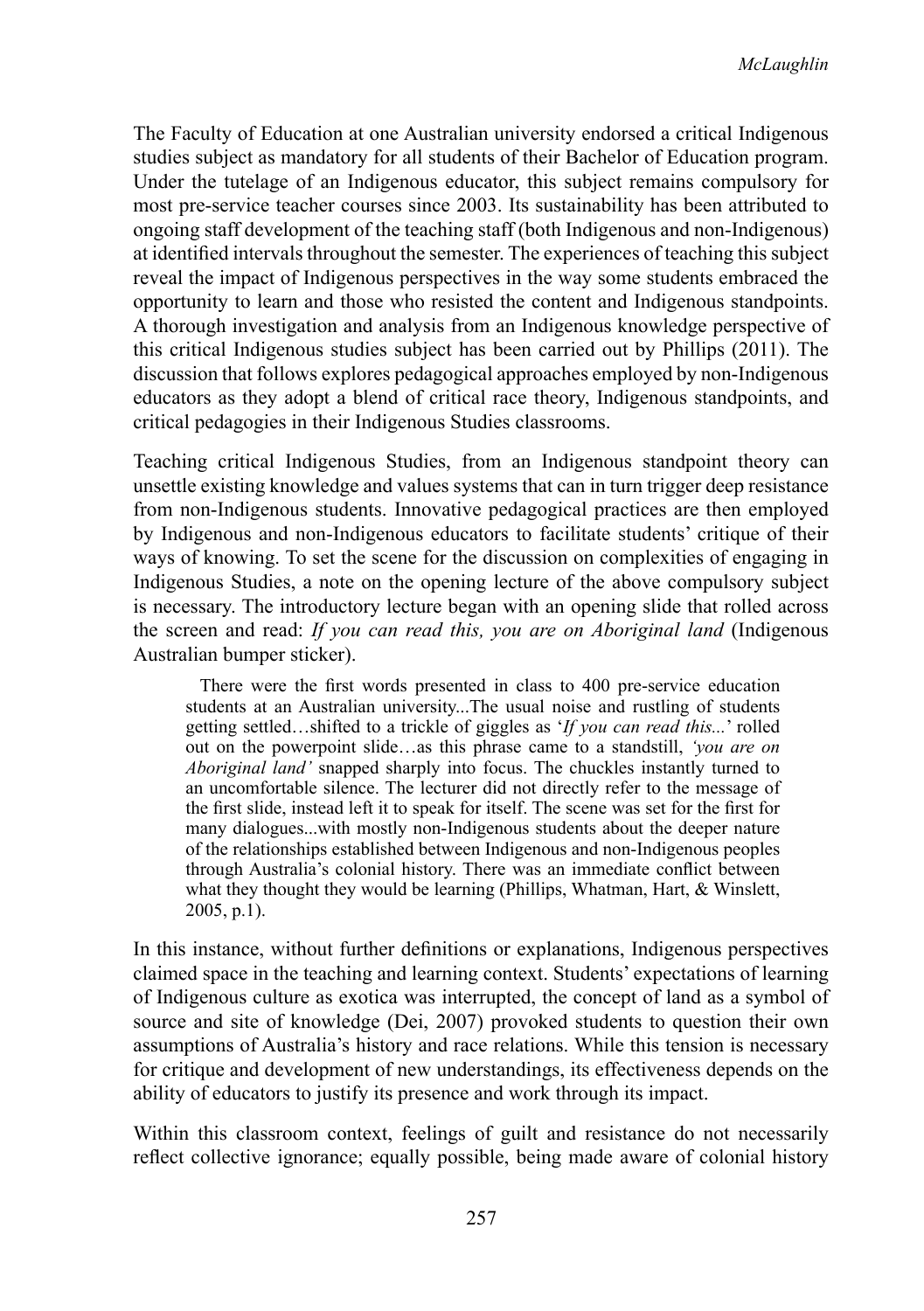The Faculty of Education at one Australian university endorsed a critical Indigenous studies subject as mandatory for all students of their Bachelor of Education program. Under the tutelage of an Indigenous educator, this subject remains compulsory for most pre-service teacher courses since 2003. Its sustainability has been attributed to ongoing staff development of the teaching staff (both Indigenous and non-Indigenous) at identified intervals throughout the semester. The experiences of teaching this subject reveal the impact of Indigenous perspectives in the way some students embraced the opportunity to learn and those who resisted the content and Indigenous standpoints. A thorough investigation and analysis from an Indigenous knowledge perspective of this critical Indigenous studies subject has been carried out by Phillips (2011). The discussion that follows explores pedagogical approaches employed by non-Indigenous educators as they adopt a blend of critical race theory, Indigenous standpoints, and critical pedagogies in their Indigenous Studies classrooms.

Teaching critical Indigenous Studies, from an Indigenous standpoint theory can unsettle existing knowledge and values systems that can in turn trigger deep resistance from non-Indigenous students. Innovative pedagogical practices are then employed by Indigenous and non-Indigenous educators to facilitate students' critique of their ways of knowing. To set the scene for the discussion on complexities of engaging in Indigenous Studies, a note on the opening lecture of the above compulsory subject is necessary. The introductory lecture began with an opening slide that rolled across the screen and read: *If you can read this, you are on Aboriginal land* (Indigenous Australian bumper sticker).

 There were the first words presented in class to 400 pre-service education students at an Australian university...The usual noise and rustling of students getting settled…shifted to a trickle of giggles as '*If you can read this...*' rolled out on the powerpoint slide…as this phrase came to a standstill, *'you are on Aboriginal land'* snapped sharply into focus. The chuckles instantly turned to an uncomfortable silence. The lecturer did not directly refer to the message of the first slide, instead left it to speak for itself. The scene was set for the first for many dialogues...with mostly non-Indigenous students about the deeper nature of the relationships established between Indigenous and non-Indigenous peoples through Australia's colonial history. There was an immediate conflict between what they thought they would be learning (Phillips, Whatman, Hart, & Winslett, 2005, p.1).

In this instance, without further definitions or explanations, Indigenous perspectives claimed space in the teaching and learning context. Students' expectations of learning of Indigenous culture as exotica was interrupted, the concept of land as a symbol of source and site of knowledge (Dei, 2007) provoked students to question their own assumptions of Australia's history and race relations. While this tension is necessary for critique and development of new understandings, its effectiveness depends on the ability of educators to justify its presence and work through its impact.

Within this classroom context, feelings of guilt and resistance do not necessarily reflect collective ignorance; equally possible, being made aware of colonial history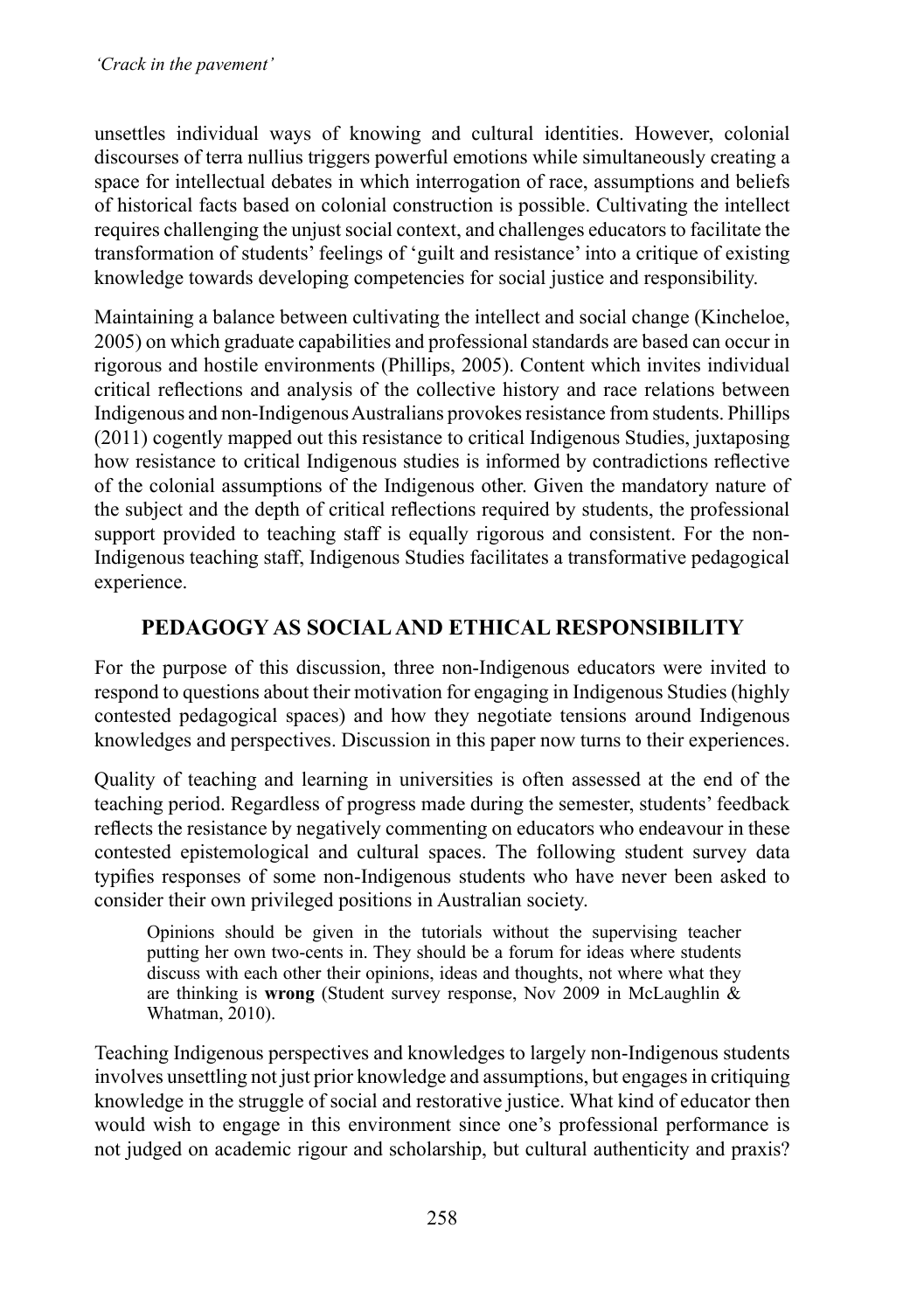unsettles individual ways of knowing and cultural identities. However, colonial discourses of terra nullius triggers powerful emotions while simultaneously creating a space for intellectual debates in which interrogation of race, assumptions and beliefs of historical facts based on colonial construction is possible. Cultivating the intellect requires challenging the unjust social context, and challenges educators to facilitate the transformation of students' feelings of 'guilt and resistance' into a critique of existing knowledge towards developing competencies for social justice and responsibility.

Maintaining a balance between cultivating the intellect and social change (Kincheloe, 2005) on which graduate capabilities and professional standards are based can occur in rigorous and hostile environments (Phillips, 2005). Content which invites individual critical reflections and analysis of the collective history and race relations between Indigenous and non-Indigenous Australians provokes resistance from students. Phillips (2011) cogently mapped out this resistance to critical Indigenous Studies, juxtaposing how resistance to critical Indigenous studies is informed by contradictions reflective of the colonial assumptions of the Indigenous other. Given the mandatory nature of the subject and the depth of critical reflections required by students, the professional support provided to teaching staff is equally rigorous and consistent. For the non-Indigenous teaching staff, Indigenous Studies facilitates a transformative pedagogical experience.

# **Pedagogy as socialand ethical responsibility**

For the purpose of this discussion, three non-Indigenous educators were invited to respond to questions about their motivation for engaging in Indigenous Studies (highly contested pedagogical spaces) and how they negotiate tensions around Indigenous knowledges and perspectives. Discussion in this paper now turns to their experiences.

Quality of teaching and learning in universities is often assessed at the end of the teaching period. Regardless of progress made during the semester, students' feedback reflects the resistance by negatively commenting on educators who endeavour in these contested epistemological and cultural spaces. The following student survey data typifies responses of some non-Indigenous students who have never been asked to consider their own privileged positions in Australian society.

Opinions should be given in the tutorials without the supervising teacher putting her own two-cents in. They should be a forum for ideas where students discuss with each other their opinions, ideas and thoughts, not where what they are thinking is **wrong** (Student survey response, Nov 2009 in McLaughlin & Whatman, 2010).

Teaching Indigenous perspectives and knowledges to largely non-Indigenous students involves unsettling not just prior knowledge and assumptions, but engages in critiquing knowledge in the struggle of social and restorative justice. What kind of educator then would wish to engage in this environment since one's professional performance is not judged on academic rigour and scholarship, but cultural authenticity and praxis?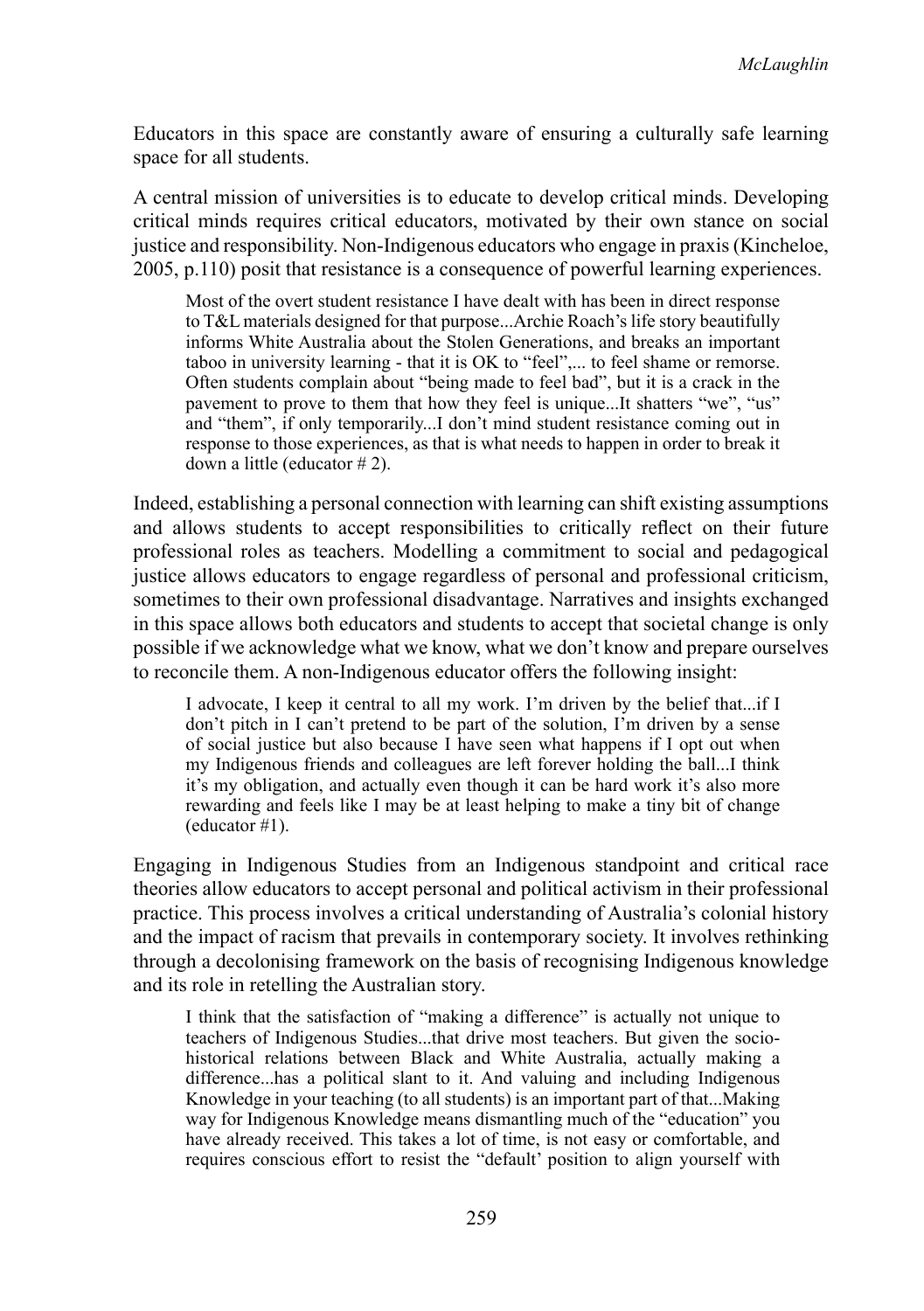Educators in this space are constantly aware of ensuring a culturally safe learning space for all students.

A central mission of universities is to educate to develop critical minds. Developing critical minds requires critical educators, motivated by their own stance on social justice and responsibility. Non-Indigenous educators who engage in praxis(Kincheloe, 2005, p.110) posit that resistance is a consequence of powerful learning experiences.

Most of the overt student resistance I have dealt with has been in direct response to T&L materials designed for that purpose...Archie Roach's life story beautifully informs White Australia about the Stolen Generations, and breaks an important taboo in university learning - that it is OK to "feel",... to feel shame or remorse. Often students complain about "being made to feel bad", but it is a crack in the pavement to prove to them that how they feel is unique...It shatters "we", "us" and "them", if only temporarily...I don't mind student resistance coming out in response to those experiences, as that is what needs to happen in order to break it down a little (educator # 2).

Indeed, establishing a personal connection with learning can shift existing assumptions and allows students to accept responsibilities to critically reflect on their future professional roles as teachers. Modelling a commitment to social and pedagogical justice allows educators to engage regardless of personal and professional criticism, sometimes to their own professional disadvantage. Narratives and insights exchanged in this space allows both educators and students to accept that societal change is only possible if we acknowledge what we know, what we don't know and prepare ourselves to reconcile them. A non-Indigenous educator offers the following insight:

I advocate, I keep it central to all my work. I'm driven by the belief that...if I don't pitch in I can't pretend to be part of the solution, I'm driven by a sense of social justice but also because I have seen what happens if I opt out when my Indigenous friends and colleagues are left forever holding the ball...I think it's my obligation, and actually even though it can be hard work it's also more rewarding and feels like I may be at least helping to make a tiny bit of change (educator #1).

Engaging in Indigenous Studies from an Indigenous standpoint and critical race theories allow educators to accept personal and political activism in their professional practice. This process involves a critical understanding of Australia's colonial history and the impact of racism that prevails in contemporary society. It involves rethinking through a decolonising framework on the basis of recognising Indigenous knowledge and its role in retelling the Australian story.

I think that the satisfaction of "making a difference" is actually not unique to teachers of Indigenous Studies...that drive most teachers. But given the sociohistorical relations between Black and White Australia, actually making a difference...has a political slant to it. And valuing and including Indigenous Knowledge in your teaching (to all students) is an important part of that...Making way for Indigenous Knowledge means dismantling much of the "education" you have already received. This takes a lot of time, is not easy or comfortable, and requires conscious effort to resist the "default' position to align yourself with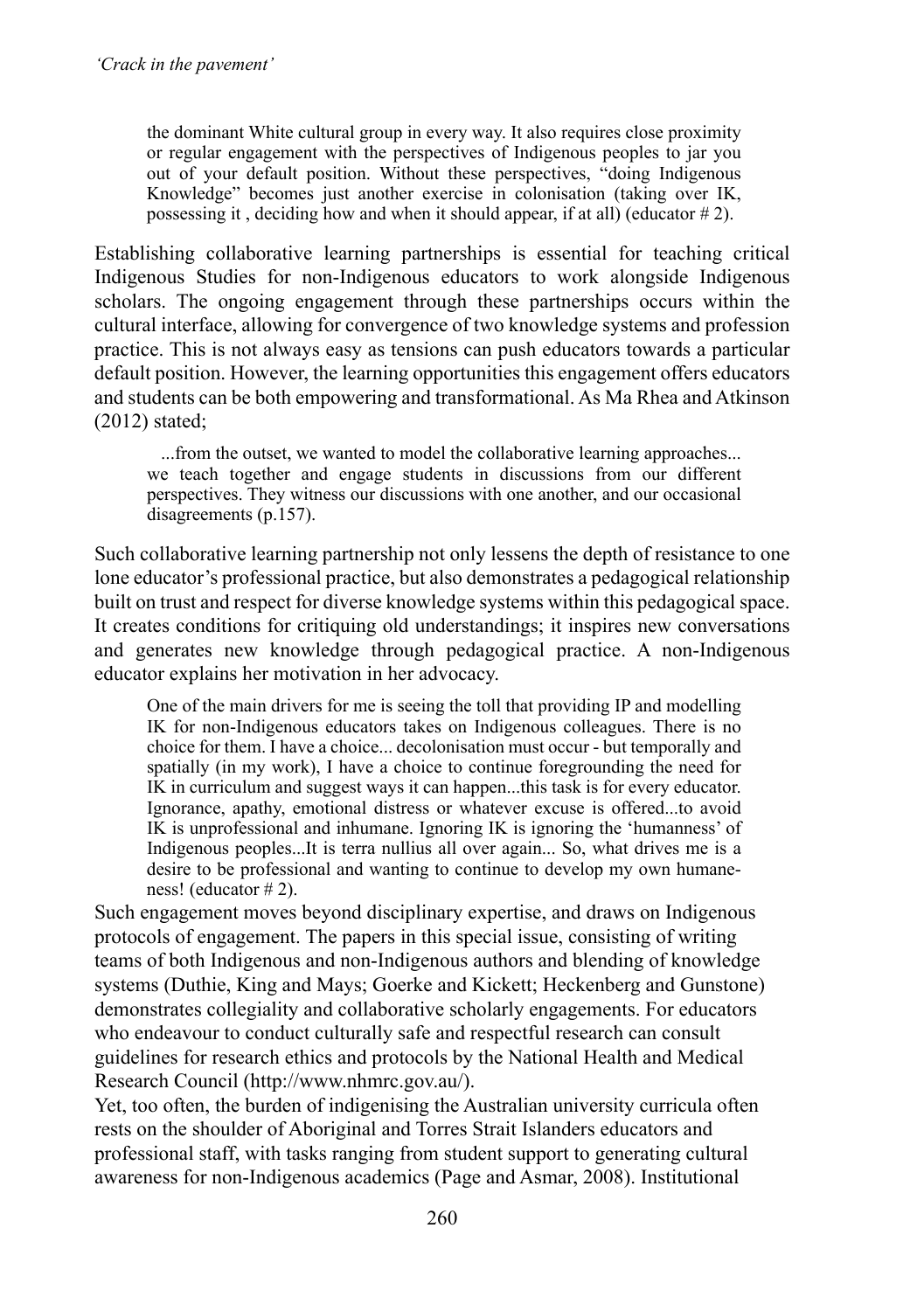the dominant White cultural group in every way. It also requires close proximity or regular engagement with the perspectives of Indigenous peoples to jar you out of your default position. Without these perspectives, "doing Indigenous Knowledge" becomes just another exercise in colonisation (taking over IK, possessing it, deciding how and when it should appear, if at all) (educator  $# 2$ ).

Establishing collaborative learning partnerships is essential for teaching critical Indigenous Studies for non-Indigenous educators to work alongside Indigenous scholars. The ongoing engagement through these partnerships occurs within the cultural interface, allowing for convergence of two knowledge systems and profession practice. This is not always easy as tensions can push educators towards a particular default position. However, the learning opportunities this engagement offers educators and students can be both empowering and transformational. As Ma Rhea and Atkinson (2012) stated;

 ...from the outset, we wanted to model the collaborative learning approaches... we teach together and engage students in discussions from our different perspectives. They witness our discussions with one another, and our occasional disagreements (p.157).

Such collaborative learning partnership not only lessens the depth of resistance to one lone educator's professional practice, but also demonstrates a pedagogical relationship built on trust and respect for diverse knowledge systems within this pedagogical space. It creates conditions for critiquing old understandings; it inspires new conversations and generates new knowledge through pedagogical practice. A non-Indigenous educator explains her motivation in her advocacy.

One of the main drivers for me is seeing the toll that providing IP and modelling IK for non-Indigenous educators takes on Indigenous colleagues. There is no choice for them. I have a choice... decolonisation must occur - but temporally and spatially (in my work), I have a choice to continue foregrounding the need for IK in curriculum and suggest ways it can happen...this task is for every educator. Ignorance, apathy, emotional distress or whatever excuse is offered...to avoid IK is unprofessional and inhumane. Ignoring IK is ignoring the 'humanness' of Indigenous peoples...It is terra nullius all over again... So, what drives me is a desire to be professional and wanting to continue to develop my own humaneness! (educator # 2).

Such engagement moves beyond disciplinary expertise, and draws on Indigenous protocols of engagement. The papers in this special issue, consisting of writing teams of both Indigenous and non-Indigenous authors and blending of knowledge systems (Duthie, King and Mays; Goerke and Kickett; Heckenberg and Gunstone) demonstrates collegiality and collaborative scholarly engagements. For educators who endeavour to conduct culturally safe and respectful research can consult guidelines for research ethics and protocols by the National Health and Medical Research Council (http://www.nhmrc.gov.au/).

Yet, too often, the burden of indigenising the Australian university curricula often rests on the shoulder of Aboriginal and Torres Strait Islanders educators and professional staff, with tasks ranging from student support to generating cultural awareness for non-Indigenous academics (Page and Asmar, 2008). Institutional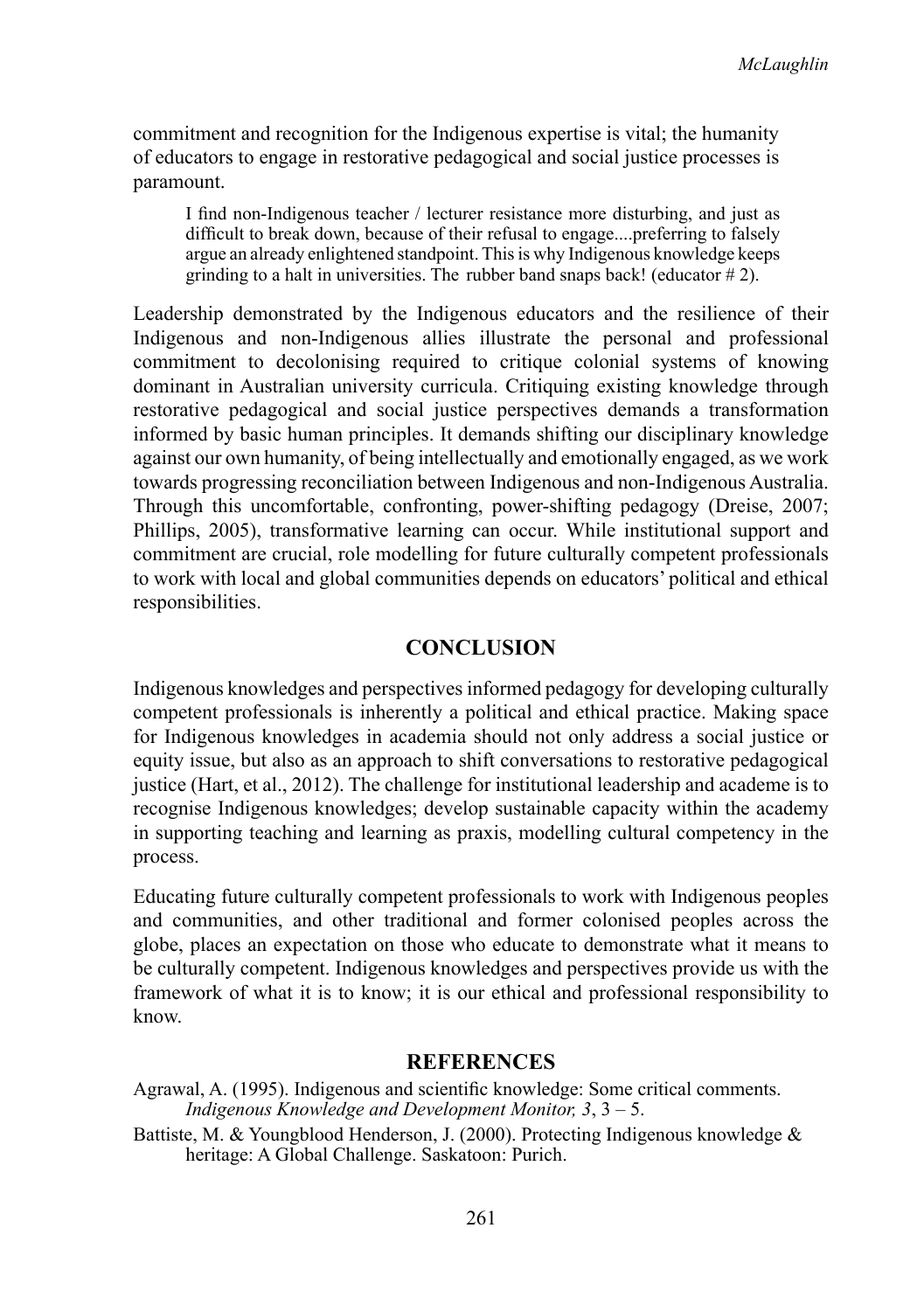commitment and recognition for the Indigenous expertise is vital; the humanity of educators to engage in restorative pedagogical and social justice processes is paramount.

I find non-Indigenous teacher / lecturer resistance more disturbing, and just as difficult to break down, because of their refusal to engage....preferring to falsely argue an already enlightened standpoint. This is why Indigenous knowledge keeps grinding to a halt in universities. The rubber band snaps back! (educator  $# 2$ ).

Leadership demonstrated by the Indigenous educators and the resilience of their Indigenous and non-Indigenous allies illustrate the personal and professional commitment to decolonising required to critique colonial systems of knowing dominant in Australian university curricula. Critiquing existing knowledge through restorative pedagogical and social justice perspectives demands a transformation informed by basic human principles. It demands shifting our disciplinary knowledge against our own humanity, of being intellectually and emotionally engaged, as we work towards progressing reconciliation between Indigenous and non-Indigenous Australia. Through this uncomfortable, confronting, power-shifting pedagogy (Dreise, 2007; Phillips, 2005), transformative learning can occur. While institutional support and commitment are crucial, role modelling for future culturally competent professionals to work with local and global communities depends on educators' political and ethical responsibilities.

#### **Conclusion**

Indigenous knowledges and perspectives informed pedagogy for developing culturally competent professionals is inherently a political and ethical practice. Making space for Indigenous knowledges in academia should not only address a social justice or equity issue, but also as an approach to shift conversations to restorative pedagogical justice (Hart, et al., 2012). The challenge for institutional leadership and academe is to recognise Indigenous knowledges; develop sustainable capacity within the academy in supporting teaching and learning as praxis, modelling cultural competency in the process.

Educating future culturally competent professionals to work with Indigenous peoples and communities, and other traditional and former colonised peoples across the globe, places an expectation on those who educate to demonstrate what it means to be culturally competent. Indigenous knowledges and perspectives provide us with the framework of what it is to know; it is our ethical and professional responsibility to know.

#### **References**

- Agrawal, A. (1995). Indigenous and scientific knowledge: Some critical comments. *Indigenous Knowledge and Development Monitor, 3*, 3 – 5.
- Battiste, M. & Youngblood Henderson, J. (2000). Protecting Indigenous knowledge & heritage: A Global Challenge. Saskatoon: Purich.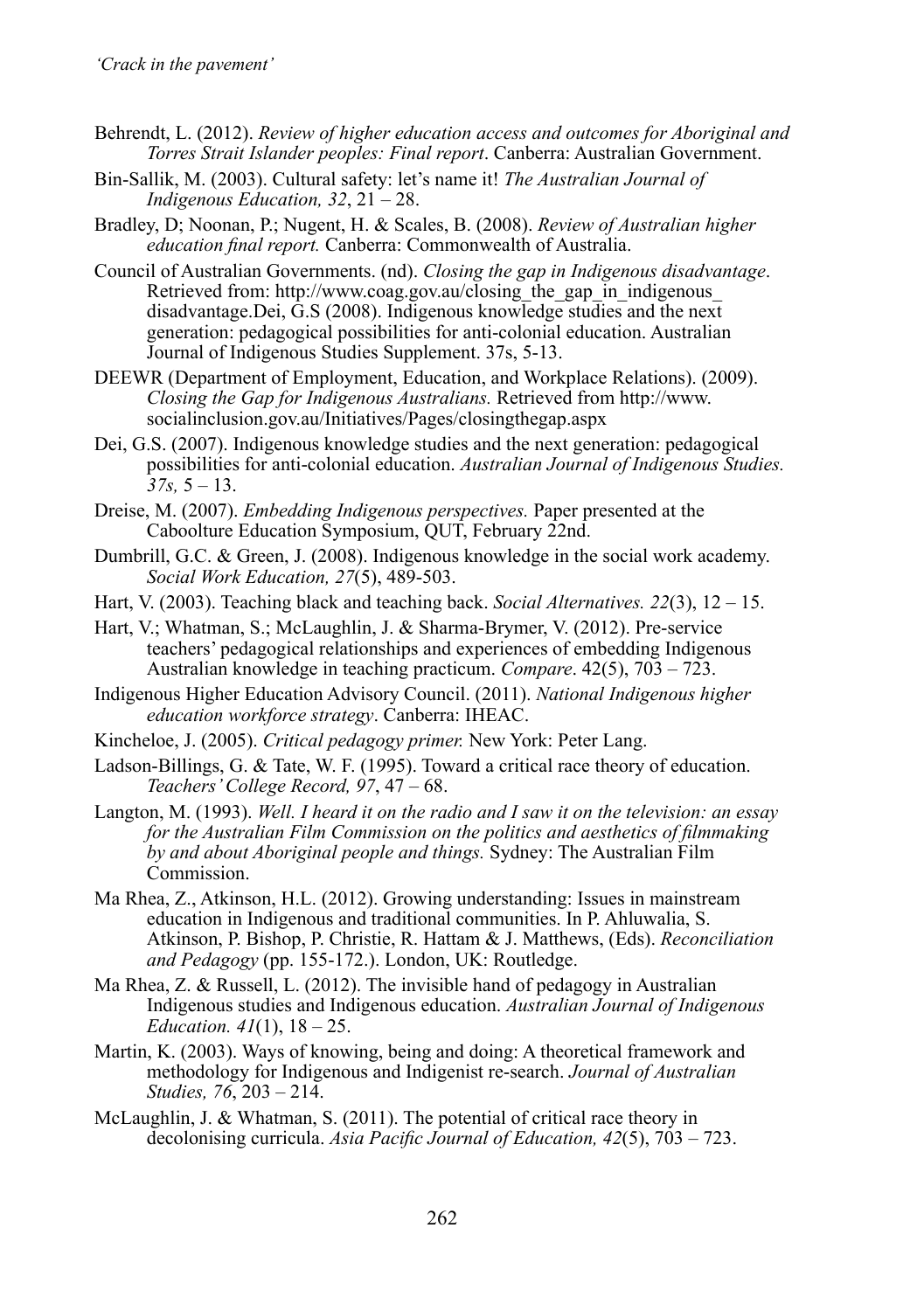- Behrendt, L. (2012). *Review of higher education access and outcomes for Aboriginal and Torres Strait Islander peoples: Final report*. Canberra: Australian Government.
- Bin-Sallik, M. (2003). Cultural safety: let's name it! *The Australian Journal of Indigenous Education, 32*, 21 – 28.
- Bradley, D; Noonan, P.; Nugent, H. & Scales, B. (2008). *Review of Australian higher education final report.* Canberra: Commonwealth of Australia.
- Council of Australian Governments. (nd). *Closing the gap in Indigenous disadvantage*. Retrieved from: http://www.coag.gov.au/closing the gap in indigenous disadvantage.Dei, G.S (2008). Indigenous knowledge studies and the next generation: pedagogical possibilities for anti-colonial education. Australian Journal of Indigenous Studies Supplement. 37s, 5-13.
- DEEWR (Department of Employment, Education, and Workplace Relations). (2009). *Closing the Gap for Indigenous Australians.* Retrieved from http://www. socialinclusion.gov.au/Initiatives/Pages/closingthegap.aspx
- Dei, G.S. (2007). Indigenous knowledge studies and the next generation: pedagogical possibilities for anti-colonial education. *Australian Journal of Indigenous Studies.*   $37s$ ,  $5 - 13$ .
- Dreise, M. (2007). *Embedding Indigenous perspectives.* Paper presented at the Caboolture Education Symposium, QUT, February 22nd.
- Dumbrill, G.C. & Green, J. (2008). Indigenous knowledge in the social work academy. *Social Work Education, 27*(5), 489-503.
- Hart, V. (2003). Teaching black and teaching back. *Social Alternatives. 22*(3), 12 15.
- Hart, V.; Whatman, S.; McLaughlin, J. & Sharma-Brymer, V. (2012). Pre-service teachers' pedagogical relationships and experiences of embedding Indigenous Australian knowledge in teaching practicum. *Compare*. 42(5), 703 – 723.
- Indigenous Higher Education Advisory Council. (2011). *National Indigenous higher education workforce strategy*. Canberra: IHEAC.
- Kincheloe, J. (2005). *Critical pedagogy primer.* New York: Peter Lang.
- Ladson-Billings, G. & Tate, W. F. (1995). Toward a critical race theory of education. *Teachers' College Record, 97*, 47 – 68.
- Langton, M. (1993). *Well. I heard it on the radio and I saw it on the television: an essay for the Australian Film Commission on the politics and aesthetics of filmmaking by and about Aboriginal people and things.* Sydney: The Australian Film Commission.
- Ma Rhea, Z., Atkinson, H.L. (2012). Growing understanding: Issues in mainstream education in Indigenous and traditional communities. In P. Ahluwalia, S. Atkinson, P. Bishop, P. Christie, R. Hattam & J. Matthews, (Eds). *Reconciliation and Pedagogy* (pp. 155-172.). London, UK: Routledge.
- Ma Rhea, Z. & Russell, L. (2012). The invisible hand of pedagogy in Australian Indigenous studies and Indigenous education. *Australian Journal of Indigenous Education. 41*(1), 18 – 25.
- Martin, K. (2003). Ways of knowing, being and doing: A theoretical framework and methodology for Indigenous and Indigenist re-search. *Journal of Australian Studies, 76*, 203 – 214.
- McLaughlin, J. & Whatman, S. (2011). The potential of critical race theory in decolonising curricula. *Asia Pacific Journal of Education, 42*(5), 703 – 723.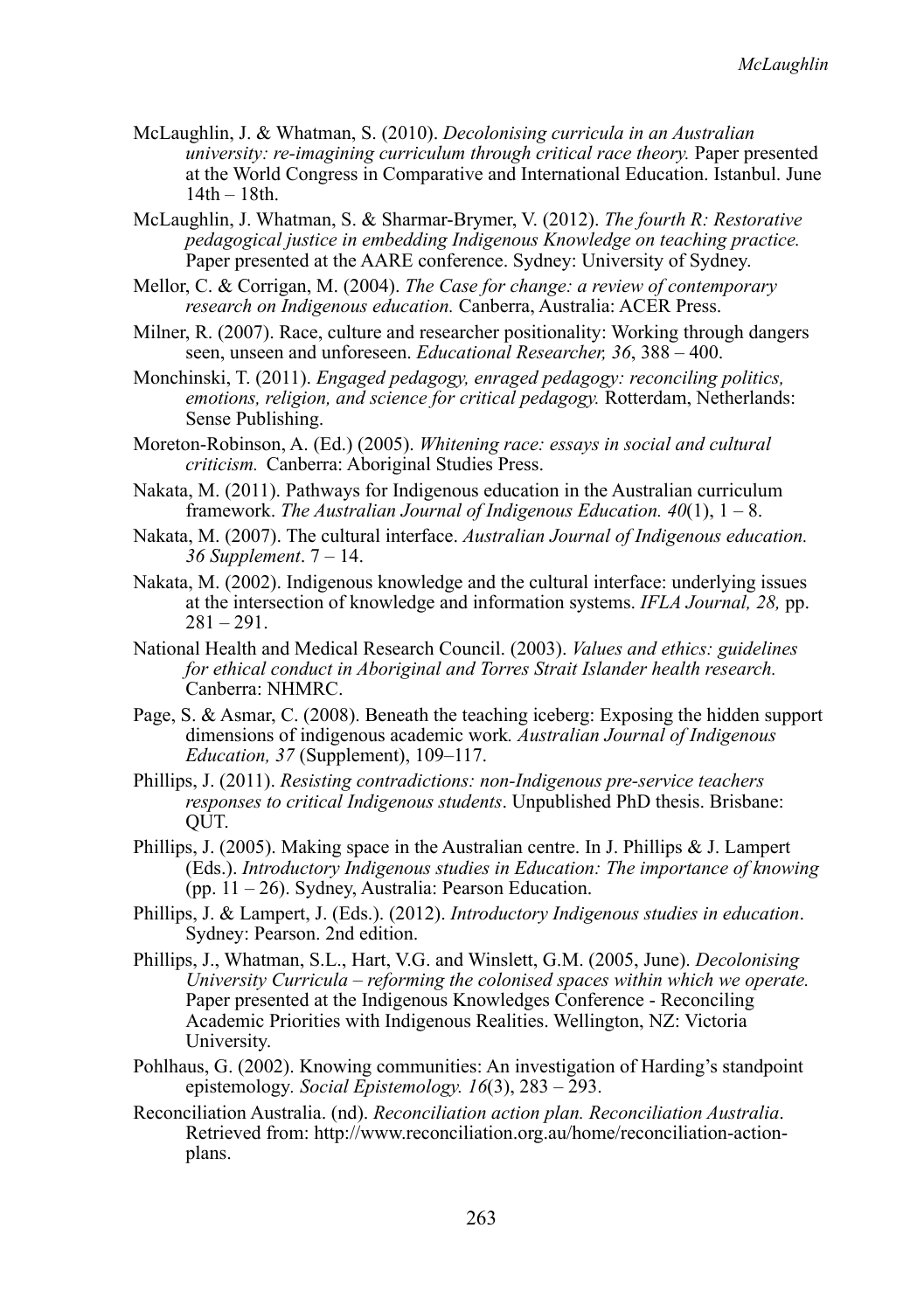- McLaughlin, J. & Whatman, S. (2010). *Decolonising curricula in an Australian university: re-imagining curriculum through critical race theory.* Paper presented at the World Congress in Comparative and International Education. Istanbul. June 14th – 18th.
- McLaughlin, J. Whatman, S. & Sharmar-Brymer, V. (2012). *The fourth R: Restorative pedagogical justice in embedding Indigenous Knowledge on teaching practice.*  Paper presented at the AARE conference. Sydney: University of Sydney.
- Mellor, C. & Corrigan, M. (2004). *The Case for change: a review of contemporary research on Indigenous education.* Canberra, Australia: ACER Press.
- Milner, R. (2007). Race, culture and researcher positionality: Working through dangers seen, unseen and unforeseen. *Educational Researcher, 36*, 388 – 400.
- Monchinski, T. (2011). *Engaged pedagogy, enraged pedagogy: reconciling politics, emotions, religion, and science for critical pedagogy.* Rotterdam, Netherlands: Sense Publishing.
- Moreton-Robinson, A. (Ed.) (2005). *Whitening race: essays in social and cultural criticism.* Canberra: Aboriginal Studies Press.
- Nakata, M. (2011). Pathways for Indigenous education in the Australian curriculum framework. *The Australian Journal of Indigenous Education. 40*(1), 1 – 8.
- Nakata, M. (2007). The cultural interface. *Australian Journal of Indigenous education. 36 Supplement*. 7 – 14.
- Nakata, M. (2002). Indigenous knowledge and the cultural interface: underlying issues at the intersection of knowledge and information systems. *IFLA Journal, 28,* pp.  $281 - 291$ .
- National Health and Medical Research Council. (2003). *Values and ethics: guidelines for ethical conduct in Aboriginal and Torres Strait Islander health research.* Canberra: NHMRC.
- Page, S. & Asmar, C. (2008). Beneath the teaching iceberg: Exposing the hidden support dimensions of indigenous academic work*. Australian Journal of Indigenous Education, 37* (Supplement), 109–117.
- Phillips, J. (2011). *Resisting contradictions: non-Indigenous pre-service teachers responses to critical Indigenous students*. Unpublished PhD thesis. Brisbane: QUT.
- Phillips, J. (2005). Making space in the Australian centre. In J. Phillips & J. Lampert (Eds.). *Introductory Indigenous studies in Education: The importance of knowing* (pp. 11 – 26). Sydney, Australia: Pearson Education.
- Phillips, J. & Lampert, J. (Eds.). (2012). *Introductory Indigenous studies in education*. Sydney: Pearson. 2nd edition.
- Phillips, J., Whatman, S.L., Hart, V.G. and Winslett, G.M. (2005, June). *Decolonising University Curricula – reforming the colonised spaces within which we operate.* Paper presented at the Indigenous Knowledges Conference - Reconciling Academic Priorities with Indigenous Realities. Wellington, NZ: Victoria University.
- Pohlhaus, G. (2002). Knowing communities: An investigation of Harding's standpoint epistemology*. Social Epistemology. 16*(3), 283 – 293.
- Reconciliation Australia. (nd). *Reconciliation action plan. Reconciliation Australia*. Retrieved from: http://www.reconciliation.org.au/home/reconciliation-actionplans.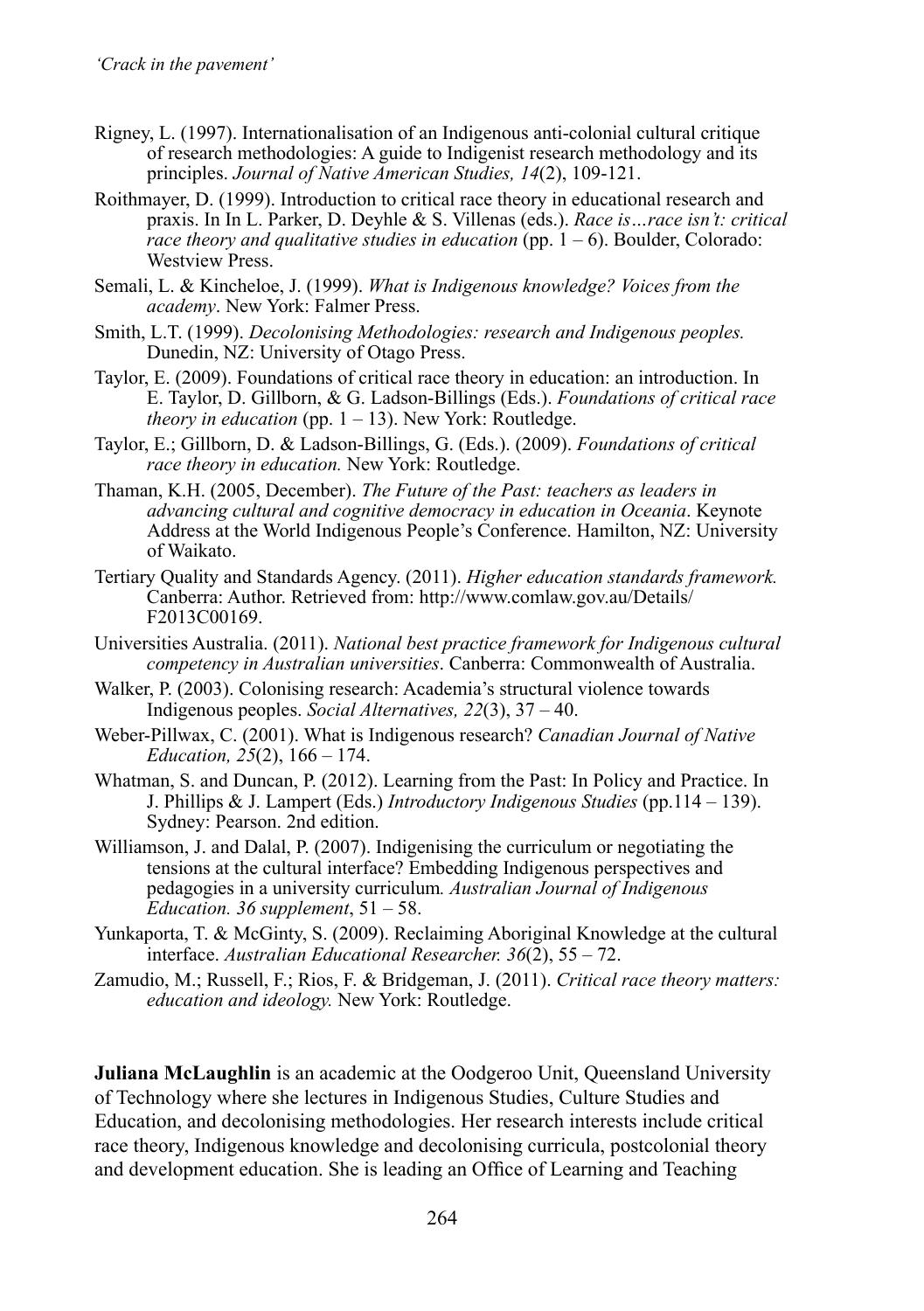- Rigney, L. (1997). Internationalisation of an Indigenous anti-colonial cultural critique of research methodologies: A guide to Indigenist research methodology and its principles. *Journal of Native American Studies, 14*(2), 109-121.
- Roithmayer, D. (1999). Introduction to critical race theory in educational research and praxis. In In L. Parker, D. Deyhle & S. Villenas (eds.). *Race is…race isn't: critical race theory and qualitative studies in education* (pp. 1 – 6). Boulder, Colorado: Westview Press.
- Semali, L. & Kincheloe, J. (1999). *What is Indigenous knowledge? Voices from the academy*. New York: Falmer Press.
- Smith, L.T. (1999). *Decolonising Methodologies: research and Indigenous peoples.* Dunedin, NZ: University of Otago Press.
- Taylor, E. (2009). Foundations of critical race theory in education: an introduction. In E. Taylor, D. Gillborn, & G. Ladson-Billings (Eds.). *Foundations of critical race theory in education* (pp.  $1 - 13$ ). New York: Routledge.
- Taylor, E.; Gillborn, D. & Ladson-Billings, G. (Eds.). (2009). *Foundations of critical race theory in education.* New York: Routledge.
- Thaman, K.H. (2005, December). *The Future of the Past: teachers as leaders in advancing cultural and cognitive democracy in education in Oceania*. Keynote Address at the World Indigenous People's Conference. Hamilton, NZ: University of Waikato.
- Tertiary Quality and Standards Agency. (2011). *Higher education standards framework.*  Canberra: Author. Retrieved from: http://www.comlaw.gov.au/Details/ F2013C00169.
- Universities Australia. (2011). *National best practice framework for Indigenous cultural competency in Australian universities*. Canberra: Commonwealth of Australia.
- Walker, P. (2003). Colonising research: Academia's structural violence towards Indigenous peoples. *Social Alternatives, 22*(3), 37 – 40.
- Weber-Pillwax, C. (2001). What is Indigenous research? *Canadian Journal of Native Education, 25*(2), 166 – 174.
- Whatman, S. and Duncan, P. (2012). Learning from the Past: In Policy and Practice. In J. Phillips & J. Lampert (Eds.) *Introductory Indigenous Studies* (pp.114 – 139). Sydney: Pearson. 2nd edition.
- Williamson, J. and Dalal, P. (2007). Indigenising the curriculum or negotiating the tensions at the cultural interface? Embedding Indigenous perspectives and pedagogies in a university curriculum*. Australian Journal of Indigenous Education. 36 supplement*, 51 – 58.
- Yunkaporta, T. & McGinty, S. (2009). Reclaiming Aboriginal Knowledge at the cultural interface. *Australian Educational Researcher. 36*(2), 55 – 72.
- Zamudio, M.; Russell, F.; Rios, F. & Bridgeman, J. (2011). *Critical race theory matters: education and ideology.* New York: Routledge.

**Juliana McLaughlin** is an academic at the Oodgeroo Unit, Queensland University of Technology where she lectures in Indigenous Studies, Culture Studies and Education, and decolonising methodologies. Her research interests include critical race theory, Indigenous knowledge and decolonising curricula, postcolonial theory and development education. She is leading an Office of Learning and Teaching